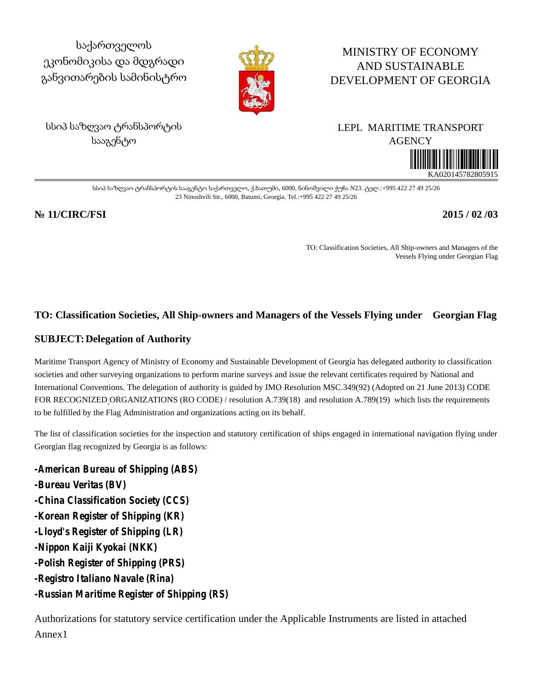საქართველოს ეკონომიკისა და მდგრადი განვითარების სამინისტრო



# MINISTRY OF ECONOMY AND SUSTAINABLE DEVELOPMENT OF GEORGIA

სსიპ საზღვაო ტრანსპორტის სააგენტო

# LEPL MARITIME TRANSPORT **AGENCY**

KA020145782805915

სსიპ საზღვაო ტრანსპორტის სააგენტო საქართველო, ქ.ბათუმი, 6000, ნინოშვილი ქუჩა N23. ტელ.:+995 422 27 49 25/26 23 Ninoshvili Str., 6000, Batumi, Georgia. Tel.:+995 422 27 49 25/26

### **№ 11/CIRC/FSI 2015 / 02 /03**

TO: Classification Societies, All Ship-owners and Managers of the Vessels Flying under Georgian Flag

## **TO: Classification Societies, All Ship-owners and Managers of the Vessels Flying under Georgian Flag**

### **SUBJECT:Delegation of Authority**

Maritime Transport Agency of Ministry of Economy and Sustainable Development of Georgia has delegated authority to classification societies and other surveying organizations to perform marine surveys and issue the relevant certificates required by National and International Conventions. The delegation of authority is guided by IMO Resolution MSC.349(92) (Adopted on 21 June 2013) CODE FOR RECOGNIZED ORGANIZATIONS (RO CODE) / resolution A.739(18) and resolution A.789(19) which lists the requirements to be fulfilled by the Flag Administration and organizations acting on its behalf.

The list of classification societies for the inspection and statutory certification of ships engaged in international navigation flying under Georgian flag recognized by Georgia is as follows:

*-American Bureau of Shipping (ABS) -Bureau Veritas (BV) -China Classification Society (CCS) -Korean Register of Shipping (KR) -Lloyd's Register of Shipping (LR) -Nippon Kaiji Kyokai (NKK) -Polish Register of Shipping (PRS) -Registro Italiano Navale (Rina) -Russian Maritime Register of Shipping (RS)*

Authorizations for statutory service certification under the Applicable Instruments are listed in attached Annex1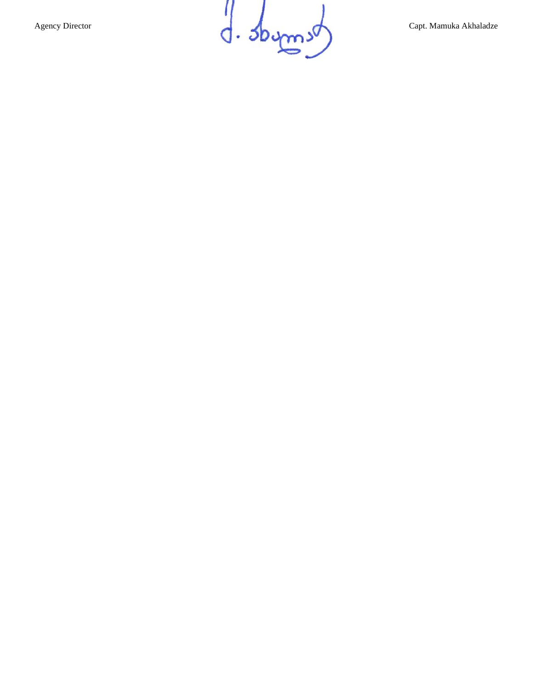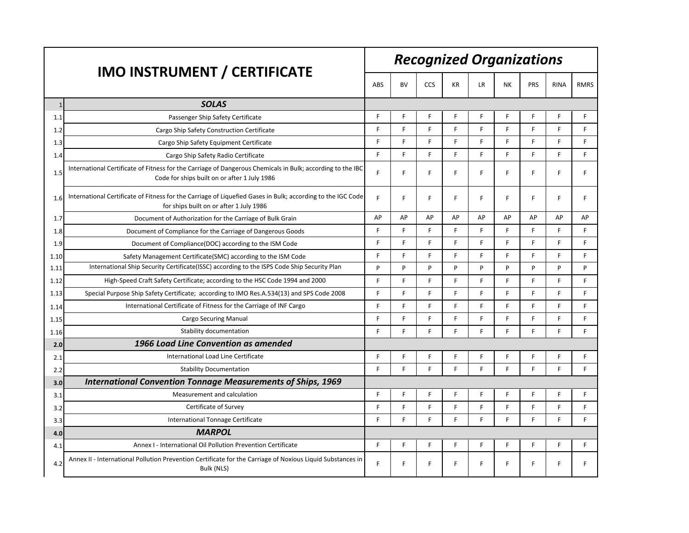|              | <b>IMO INSTRUMENT / CERTIFICATE</b>                                                                                                                        | <b>Recognized Organizations</b> |           |     |              |           |           |     |             |             |  |
|--------------|------------------------------------------------------------------------------------------------------------------------------------------------------------|---------------------------------|-----------|-----|--------------|-----------|-----------|-----|-------------|-------------|--|
|              |                                                                                                                                                            |                                 | <b>BV</b> | CCS | KR           | <b>LR</b> | <b>NK</b> | PRS | <b>RINA</b> | <b>RMRS</b> |  |
| $\mathbf{1}$ | <b>SOLAS</b>                                                                                                                                               |                                 |           |     |              |           |           |     |             |             |  |
| 1.1          | Passenger Ship Safety Certificate                                                                                                                          | F                               | F.        | F   | F            | F         | F.        | F   | F.          | F           |  |
| 1.2          | Cargo Ship Safety Construction Certificate                                                                                                                 | F                               | F.        | F   | F            | F         | F.        | F.  | E           | E           |  |
| 1.3          | Cargo Ship Safety Equipment Certificate                                                                                                                    | F                               | F.        | F.  | F            | F         | F.        | F.  | F.          | F           |  |
| 1.4          | Cargo Ship Safety Radio Certificate                                                                                                                        | F                               | F.        | F   | F            | F.        | F         | F.  | F           | F           |  |
| 1.5          | International Certificate of Fitness for the Carriage of Dangerous Chemicals in Bulk; according to the IBC<br>Code for ships built on or after 1 July 1986 | F                               | F.        | F   | F            | F.        | F.        | F.  | F           | F           |  |
| 1.6          | International Certificate of Fitness for the Carriage of Liquefied Gases in Bulk; according to the IGC Code<br>for ships built on or after 1 July 1986     | F                               | F.        | F.  | F            | F.        | F.        | F.  | F.          | F           |  |
| 1.7          | Document of Authorization for the Carriage of Bulk Grain                                                                                                   | AP                              | AP        | AP  | AP           | AP        | AP        | AP  | AP          | AP          |  |
| 1.8          | Document of Compliance for the Carriage of Dangerous Goods                                                                                                 | F                               | F.        | F.  | F            | F.        | F         | F.  | F           | F           |  |
| 1.9          | Document of Compliance (DOC) according to the ISM Code                                                                                                     | F                               | F.        | F   | E            | F         | F.        | F   | F           | F           |  |
| 1.10         | Safety Management Certificate(SMC) according to the ISM Code                                                                                               | F                               | F.        | F   | F            | F         | F         | E   | F           | E           |  |
| 1.11         | International Ship Security Certificate (ISSC) according to the ISPS Code Ship Security Plan                                                               | P                               | P         | P   | P            | P         | P         | P   | P           | P           |  |
| 1.12         | High-Speed Craft Safety Certificate; according to the HSC Code 1994 and 2000                                                                               | F                               | F.        | F   | E            | F         | F         | E   | F           | F           |  |
| 1.13         | Special Purpose Ship Safety Certificate; according to IMO Res.A.534(13) and SPS Code 2008                                                                  | F                               | F.        | F   | F            | F.        | F.        | F   | F.          | F           |  |
| 1.14         | International Certificate of Fitness for the Carriage of INF Cargo                                                                                         | F                               | F.        | F.  | E            | E         | F.        | F.  | F.          | E           |  |
| 1.15         | <b>Cargo Securing Manual</b>                                                                                                                               | F                               | F.        | F   | $\mathsf{F}$ | F         | F.        | F   | F           | F           |  |
| 1.16         | Stability documentation                                                                                                                                    | F                               | F         | F   | F            | F         | F         | F.  | F           | F           |  |
| 2.0          | 1966 Load Line Convention as amended                                                                                                                       |                                 |           |     |              |           |           |     |             |             |  |
| 2.1          | International Load Line Certificate                                                                                                                        | F                               | F.        | F.  | F            | F         | F         | F   | F.          | F           |  |
| 2.2          | <b>Stability Documentation</b>                                                                                                                             | F                               | F.        | F   | F            | F.        | F.        | F.  | F.          | E           |  |
| 3.0          | <b>International Convention Tonnage Measurements of Ships, 1969</b>                                                                                        |                                 |           |     |              |           |           |     |             |             |  |
| 3.1          | Measurement and calculation                                                                                                                                | F                               | F         | F   | F            | F         | F         | F   | F           | F           |  |
| 3.2          | Certificate of Survey                                                                                                                                      | F                               | F.        | F   | F            | F         | F.        | E   | F           | F           |  |
| 3.3          | International Tonnage Certificate                                                                                                                          | F                               | F.        | F   | E            | F.        | F.        | F.  | F.          | F           |  |
| 4.0          | <b>MARPOL</b>                                                                                                                                              |                                 |           |     |              |           |           |     |             |             |  |
| 4.1          | Annex I - International Oil Pollution Prevention Certificate                                                                                               | F                               | F.        | F   | F            | F         | F         | F.  | F.          | F           |  |
| 4.2          | Annex II - International Pollution Prevention Certificate for the Carriage of Noxious Liquid Substances in<br>Bulk (NLS)                                   | F                               | F         | F.  | F            | F         | F         | F   | F.          | F           |  |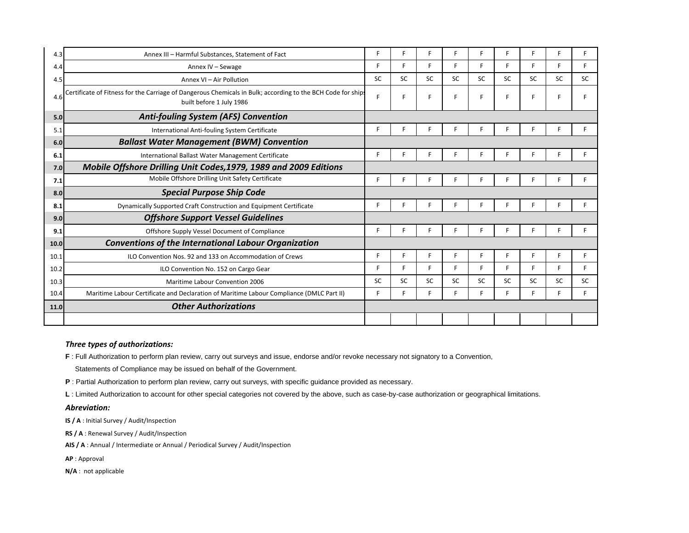| 4.3  | Annex III - Harmful Substances, Statement of Fact                                                                                       | F  |           | F         |           | F         | F         | F.        |           |           |
|------|-----------------------------------------------------------------------------------------------------------------------------------------|----|-----------|-----------|-----------|-----------|-----------|-----------|-----------|-----------|
| 4.4  | Annex IV - Sewage                                                                                                                       | F  | Е.        | F         | F         | F.        | F         | F.        | F         |           |
| 4.5  | Annex VI - Air Pollution                                                                                                                | SC | <b>SC</b> | <b>SC</b> | <b>SC</b> | <b>SC</b> | <b>SC</b> | <b>SC</b> | <b>SC</b> | <b>SC</b> |
| 4.6  | Certificate of Fitness for the Carriage of Dangerous Chemicals in Bulk; according to the BCH Code for ship:<br>built before 1 July 1986 | F  |           | F         |           | F         | F         | F.        | F         |           |
| 5.0  | <b>Anti-fouling System (AFS) Convention</b>                                                                                             |    |           |           |           |           |           |           |           |           |
| 5.1  | International Anti-fouling System Certificate                                                                                           | F  |           | F         |           | F         |           |           |           |           |
| 6.0  | <b>Ballast Water Management (BWM) Convention</b>                                                                                        |    |           |           |           |           |           |           |           |           |
| 6.1  | International Ballast Water Management Certificate                                                                                      | F  |           |           |           |           |           |           |           |           |
| 7.0  | Mobile Offshore Drilling Unit Codes, 1979, 1989 and 2009 Editions                                                                       |    |           |           |           |           |           |           |           |           |
| 7.1  | Mobile Offshore Drilling Unit Safety Certificate                                                                                        | F  |           |           |           | F         |           |           |           |           |
| 8.0  | <b>Special Purpose Ship Code</b>                                                                                                        |    |           |           |           |           |           |           |           |           |
| 8.1  | Dynamically Supported Craft Construction and Equipment Certificate                                                                      | F  | c         | Е         |           | F         | F         | F.        | F         | F         |
| 9.0  | <b>Offshore Support Vessel Guidelines</b>                                                                                               |    |           |           |           |           |           |           |           |           |
| 9.1  | Offshore Supply Vessel Document of Compliance                                                                                           | F  |           |           |           |           |           |           |           |           |
| 10.0 | <b>Conventions of the International Labour Organization</b>                                                                             |    |           |           |           |           |           |           |           |           |
| 10.1 | ILO Convention Nos. 92 and 133 on Accommodation of Crews                                                                                | F  |           | F         | F         | F         | F         | F.        | F         |           |
| 10.2 | ILO Convention No. 152 on Cargo Gear                                                                                                    | F  | F.        | F         | F         | F.        | F         | F         | F         |           |
| 10.3 | <b>Maritime Labour Convention 2006</b>                                                                                                  | SC | <b>SC</b> | SC        | <b>SC</b> | <b>SC</b> | SC        | <b>SC</b> | <b>SC</b> | SC        |
| 10.4 | Maritime Labour Certificate and Declaration of Maritime Labour Compliance (DMLC Part II)                                                | F  |           | F         |           | F.        | F         | F         | F         |           |
| 11.0 | <b>Other Authorizations</b>                                                                                                             |    |           |           |           |           |           |           |           |           |
|      |                                                                                                                                         |    |           |           |           |           |           |           |           |           |
|      |                                                                                                                                         |    |           |           |           |           |           |           |           |           |

#### *Three types of authorizations:*

**F** : Full Authorization to perform plan review, carry out surveys and issue, endorse and/or revoke necessary not signatory to a Convention,

Statements of Compliance may be issued on behalf of the Government.

**P** : Partial Authorization to perform plan review, carry out surveys, with specific guidance provided as necessary.

**L** : Limited Authorization to account for other special categories not covered by the above, such as case-by-case authorization or geographical limitations.

#### *Abreviation:*

**IS / A** : Initial Survey / Audit/Inspection

**RS / A** : Renewal Survey / Audit/Inspection

**AIS / A** : Annual / Intermediate or Annual / Periodical Survey / Audit/Inspection

**AP** : Approval

**N/A** : not applicable